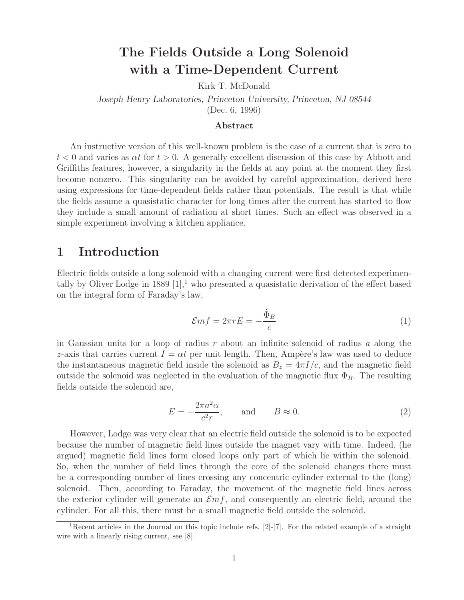## **The Fields Outside a Long Solenoid with a Time-Dependent Current**

Kirk T. McDonald

*Joseph Henry Laboratories, Princeton University, Princeton, NJ 08544* (Dec. 6, 1996)

#### **Abstract**

An instructive version of this well-known problem is the case of a current that is zero to  $t < 0$  and varies as  $\alpha t$  for  $t > 0$ . A generally excellent discussion of this case by Abbott and Griffiths features, however, a singularity in the fields at any point at the moment they first become nonzero. This singularity can be avoided by careful approximation, derived here using expressions for time-dependent fields rather than potentials. The result is that while the fields assume a quasistatic character for long times after the current has started to flow they include a small amount of radiation at short times. Such an effect was observed in a simple experiment involving a kitchen appliance.

#### **1 Introduction**

Electric fields outside a long solenoid with a changing current were first detected experimentally by Oliver Lodge in 1889  $[1]$ ,<sup>1</sup> who presented a quasistatic derivation of the effect based on the integral form of Faraday's law,

$$
\mathcal{E}mf = 2\pi rE = -\frac{\dot{\Phi}_B}{c} \tag{1}
$$

in Gaussian units for a loop of radius r about an infinite solenoid of radius a along the z-axis that carries current  $I = \alpha t$  per unit length. Then, Ampère's law was used to deduce the instantaneous magnetic field inside the solenoid as  $B_z = 4\pi I/c$ , and the magnetic field outside the solenoid was neglected in the evaluation of the magnetic flux  $\Phi_B$ . The resulting fields outside the solenoid are,

$$
E = -\frac{2\pi a^2 \alpha}{c^2 r}, \quad \text{and} \quad B \approx 0. \tag{2}
$$

However, Lodge was very clear that an electric field outside the solenoid is to be expected because the number of magnetic field lines outside the magnet vary with time. Indeed, (he argued) magnetic field lines form closed loops only part of which lie within the solenoid. So, when the number of field lines through the core of the solenoid changes there must be a corresponding number of lines crossing any concentric cylinder external to the (long) solenoid. Then, according to Faraday, the movement of the magnetic field lines across the exterior cylinder will generate an  $\mathcal{E}mf$ , and consequently an electric field, around the cylinder. For all this, there must be a small magnetic field outside the solenoid.

<sup>&</sup>lt;sup>1</sup>Recent articles in the Journal on this topic include refs. [2]-[7]. For the related example of a straight wire with a linearly rising current, see [8].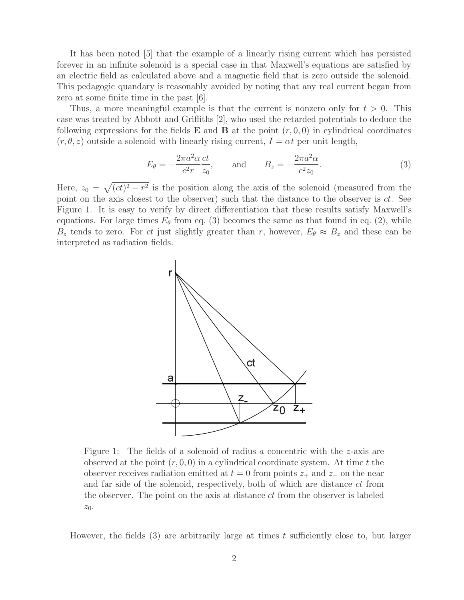It has been noted [5] that the example of a linearly rising current which has persisted forever in an infinite solenoid is a special case in that Maxwell's equations are satisfied by an electric field as calculated above and a magnetic field that is zero outside the solenoid. This pedagogic quandary is reasonably avoided by noting that any real current began from zero at some finite time in the past [6].

Thus, a more meaningful example is that the current is nonzero only for  $t > 0$ . This case was treated by Abbott and Griffiths [2], who used the retarded potentials to deduce the following expressions for the fields  $\bf{E}$  and  $\bf{B}$  at the point  $(r, 0, 0)$  in cylindrical coordinates  $(r, \theta, z)$  outside a solenoid with linearly rising current,  $I = \alpha t$  per unit length,

$$
E_{\theta} = -\frac{2\pi a^2 \alpha}{c^2 r} \frac{ct}{z_0}, \quad \text{and} \quad B_z = -\frac{2\pi a^2 \alpha}{c^2 z_0}.
$$
 (3)

Here,  $z_0 = \sqrt{(ct)^2 - r^2}$  is the position along the axis of the solenoid (measured from the point on the axis closest to the observer) such that the distance to the observer is  $ct$ . See Figure 1. It is easy to verify by direct differentiation that these results satisfy Maxwell's equations. For large times  $E_{\theta}$  from eq. (3) becomes the same as that found in eq. (2), while  $B_z$  tends to zero. For ct just slightly greater than r, however,  $E_{\theta} \approx B_z$  and these can be interpreted as radiation fields.



Figure 1: The fields of a solenoid of radius a concentric with the z-axis are observed at the point  $(r, 0, 0)$  in a cylindrical coordinate system. At time t the observer receives radiation emitted at  $t = 0$  from points  $z_+$  and  $z_-$  on the near and far side of the solenoid, respectively, both of which are distance ct from the observer. The point on the axis at distance ct from the observer is labeled  $z_0$ .

However, the fields  $(3)$  are arbitrarily large at times t sufficiently close to, but larger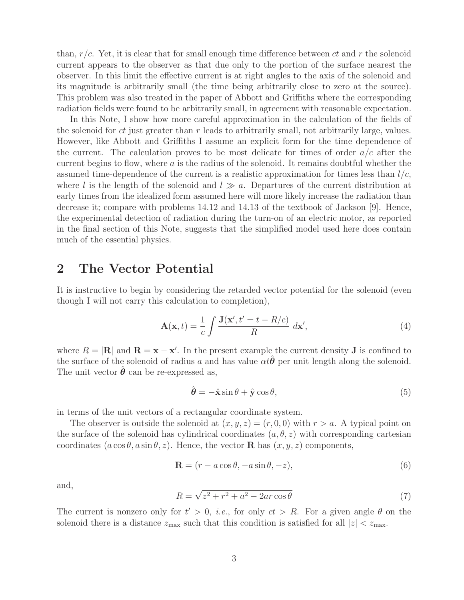than,  $r/c$ . Yet, it is clear that for small enough time difference between ct and r the solenoid current appears to the observer as that due only to the portion of the surface nearest the observer. In this limit the effective current is at right angles to the axis of the solenoid and its magnitude is arbitrarily small (the time being arbitrarily close to zero at the source). This problem was also treated in the paper of Abbott and Griffiths where the corresponding radiation fields were found to be arbitrarily small, in agreement with reasonable expectation.

In this Note, I show how more careful approximation in the calculation of the fields of the solenoid for ct just greater than r leads to arbitrarily small, not arbitrarily large, values. However, like Abbott and Griffiths I assume an explicit form for the time dependence of the current. The calculation proves to be most delicate for times of order  $a/c$  after the current begins to flow, where  $\alpha$  is the radius of the solenoid. It remains doubtful whether the assumed time-dependence of the current is a realistic approximation for times less than  $l/c$ , where l is the length of the solenoid and  $l \gg a$ . Departures of the current distribution at early times from the idealized form assumed here will more likely increase the radiation than decrease it; compare with problems 14.12 and 14.13 of the textbook of Jackson [9]. Hence, the experimental detection of radiation during the turn-on of an electric motor, as reported in the final section of this Note, suggests that the simplified model used here does contain much of the essential physics.

### **2 The Vector Potential**

It is instructive to begin by considering the retarded vector potential for the solenoid (even though I will not carry this calculation to completion),

$$
\mathbf{A}(\mathbf{x},t) = \frac{1}{c} \int \frac{\mathbf{J}(\mathbf{x}',t'=t-R/c)}{R} \, d\mathbf{x}',\tag{4}
$$

where  $R = |\mathbf{R}|$  and  $\mathbf{R} = \mathbf{x} - \mathbf{x}'$ . In the present example the current density **J** is confined to the surface of the solenoid of radius a and has value  $\alpha t \theta$  per unit length along the solenoid. The unit vector  $\boldsymbol{\theta}$  can be re-expressed as,

$$
\hat{\boldsymbol{\theta}} = -\hat{\mathbf{x}} \sin \theta + \hat{\mathbf{y}} \cos \theta,\tag{5}
$$

in terms of the unit vectors of a rectangular coordinate system.

The observer is outside the solenoid at  $(x, y, z)=(r, 0, 0)$  with  $r>a$ . A typical point on the surface of the solenoid has cylindrical coordinates  $(a, \theta, z)$  with corresponding cartesian coordinates  $(a \cos \theta, a \sin \theta, z)$ . Hence, the vector **R** has  $(x, y, z)$  components,

$$
\mathbf{R} = (r - a\cos\theta, -a\sin\theta, -z),\tag{6}
$$

and,

$$
R = \sqrt{z^2 + r^2 + a^2 - 2ar\cos\theta} \tag{7}
$$

The current is nonzero only for  $t' > 0$ , *i.e.*, for only  $ct > R$ . For a given angle  $\theta$  on the solenoid there is a distance  $z_{\text{max}}$  such that this condition is satisfied for all  $|z| < z_{\text{max}}$ .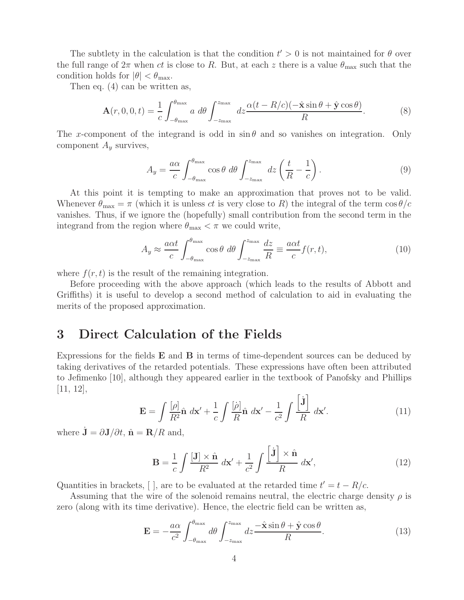The subtlety in the calculation is that the condition  $t' > 0$  is not maintained for  $\theta$  over the full range of  $2\pi$  when ct is close to R. But, at each z there is a value  $\theta_{\text{max}}$  such that the condition holds for  $|\theta| < \theta_{\text{max}}$ .

Then eq. (4) can be written as,

$$
\mathbf{A}(r,0,0,t) = \frac{1}{c} \int_{-\theta_{\text{max}}}^{\theta_{\text{max}}} a \, d\theta \int_{-z_{\text{max}}}^{z_{\text{max}}} dz \frac{\alpha(t - R/c)(-\hat{\mathbf{x}}\sin\theta + \hat{\mathbf{y}}\cos\theta)}{R}.
$$
 (8)

The x-component of the integrand is odd in  $\sin \theta$  and so vanishes on integration. Only component  $A_y$  survives,

$$
A_y = \frac{a\alpha}{c} \int_{-\theta_{\text{max}}}^{\theta_{\text{max}}} \cos\theta \ d\theta \int_{-z_{\text{max}}}^{z_{\text{max}}} dz \left(\frac{t}{R} - \frac{1}{c}\right).
$$
 (9)

At this point it is tempting to make an approximation that proves not to be valid. Whenever  $\theta_{\text{max}} = \pi$  (which it is unless ct is very close to R) the integral of the term  $\cos \theta/c$ vanishes. Thus, if we ignore the (hopefully) small contribution from the second term in the integrand from the region where  $\theta_{\rm max} < \pi$  we could write,

$$
A_y \approx \frac{a\alpha t}{c} \int_{-\theta_{\text{max}}}^{\theta_{\text{max}}} \cos\theta \ d\theta \int_{-z_{\text{max}}}^{z_{\text{max}}} \frac{dz}{R} \equiv \frac{a\alpha t}{c} f(r, t), \tag{10}
$$

where  $f(r, t)$  is the result of the remaining integration.

Before proceeding with the above approach (which leads to the results of Abbott and Griffiths) it is useful to develop a second method of calculation to aid in evaluating the merits of the proposed approximation.

### **3 Direct Calculation of the Fields**

Expressions for the fields **E** and **B** in terms of time-dependent sources can be deduced by taking derivatives of the retarded potentials. These expressions have often been attributed to Jefimenko [10], although they appeared earlier in the textbook of Panofsky and Phillips [11, 12],

$$
\mathbf{E} = \int \frac{[\rho]}{R^2} \hat{\mathbf{n}} \, d\mathbf{x}' + \frac{1}{c} \int \frac{[\dot{\rho}]}{R} \hat{\mathbf{n}} \, d\mathbf{x}' - \frac{1}{c^2} \int \frac{\left[\dot{\mathbf{J}}\right]}{R} \, d\mathbf{x}'. \tag{11}
$$

where  $\dot{\mathbf{J}} = \partial \mathbf{J}/\partial t$ ,  $\hat{\mathbf{n}} = \mathbf{R}/R$  and,

$$
\mathbf{B} = \frac{1}{c} \int \frac{[\mathbf{J}] \times \hat{\mathbf{n}}}{R^2} \, d\mathbf{x}' + \frac{1}{c^2} \int \frac{[\mathbf{j}] \times \hat{\mathbf{n}}}{R} \, d\mathbf{x}',\tag{12}
$$

Quantities in brackets, [], are to be evaluated at the retarded time  $t'=t-R/c$ .

Assuming that the wire of the solenoid remains neutral, the electric charge density  $\rho$  is zero (along with its time derivative). Hence, the electric field can be written as,

$$
\mathbf{E} = -\frac{a\alpha}{c^2} \int_{-\theta_{\text{max}}}^{\theta_{\text{max}}} d\theta \int_{-z_{\text{max}}}^{z_{\text{max}}} dz \frac{-\hat{\mathbf{x}}\sin\theta + \hat{\mathbf{y}}\cos\theta}{R}.
$$
 (13)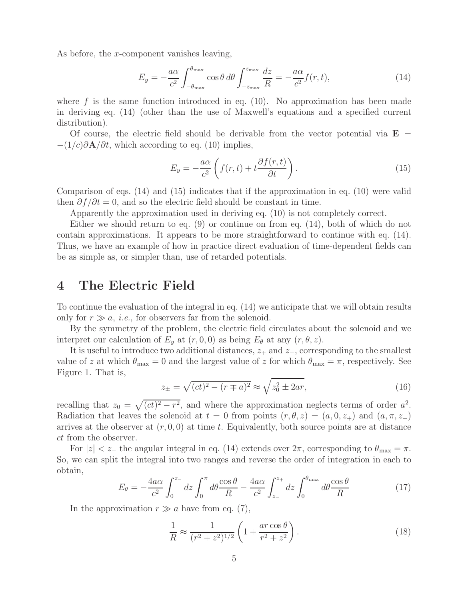As before, the x-component vanishes leaving,

$$
E_y = -\frac{a\alpha}{c^2} \int_{-\theta_{\text{max}}}^{\theta_{\text{max}}} \cos\theta \, d\theta \int_{-z_{\text{max}}}^{z_{\text{max}}} \frac{dz}{R} = -\frac{a\alpha}{c^2} f(r, t),\tag{14}
$$

where f is the same function introduced in eq.  $(10)$ . No approximation has been made in deriving eq. (14) (other than the use of Maxwell's equations and a specified current distribution).

Of course, the electric field should be derivable from the vector potential via  $\mathbf{E}$  =  $-(1/c)\partial \mathbf{A}/\partial t$ , which according to eq. (10) implies,

$$
E_y = -\frac{a\alpha}{c^2} \left( f(r, t) + t \frac{\partial f(r, t)}{\partial t} \right). \tag{15}
$$

Comparison of eqs. (14) and (15) indicates that if the approximation in eq. (10) were valid then  $\partial f/\partial t = 0$ , and so the electric field should be constant in time.

Apparently the approximation used in deriving eq. (10) is not completely correct.

Either we should return to eq. (9) or continue on from eq. (14), both of which do not contain approximations. It appears to be more straightforward to continue with eq. (14). Thus, we have an example of how in practice direct evaluation of time-dependent fields can be as simple as, or simpler than, use of retarded potentials.

### **4 The Electric Field**

To continue the evaluation of the integral in eq. (14) we anticipate that we will obtain results only for  $r \gg a$ , *i.e.*, for observers far from the solenoid.

By the symmetry of the problem, the electric field circulates about the solenoid and we interpret our calculation of  $E_y$  at  $(r, 0, 0)$  as being  $E_\theta$  at any  $(r, \theta, z)$ .

It is useful to introduce two additional distances,  $z_+$  and  $z_-$ , corresponding to the smallest value of z at which  $\theta_{\text{max}} = 0$  and the largest value of z for which  $\theta_{\text{max}} = \pi$ , respectively. See Figure 1. That is,

$$
z_{\pm} = \sqrt{(ct)^2 - (r \mp a)^2} \approx \sqrt{z_0^2 \pm 2ar},\tag{16}
$$

recalling that  $z_0 = \sqrt{(ct)^2 - r^2}$ , and where the approximation neglects terms of order  $a^2$ . Radiation that leaves the solenoid at  $t = 0$  from points  $(r, \theta, z) = (a, 0, z_+)$  and  $(a, \pi, z_-)$ arrives at the observer at  $(r, 0, 0)$  at time t. Equivalently, both source points are at distance ct from the observer.

For  $|z| < z_+$  the angular integral in eq. (14) extends over  $2\pi$ , corresponding to  $\theta_{\text{max}} = \pi$ . So, we can split the integral into two ranges and reverse the order of integration in each to obtain,

$$
E_{\theta} = -\frac{4a\alpha}{c^2} \int_0^{z_-} dz \int_0^{\pi} d\theta \frac{\cos\theta}{R} - \frac{4a\alpha}{c^2} \int_{z_-}^{z_+} dz \int_0^{\theta_{\text{max}}} d\theta \frac{\cos\theta}{R}
$$
(17)

In the approximation  $r \gg a$  have from eq. (7),

$$
\frac{1}{R} \approx \frac{1}{(r^2 + z^2)^{1/2}} \left( 1 + \frac{ar \cos \theta}{r^2 + z^2} \right). \tag{18}
$$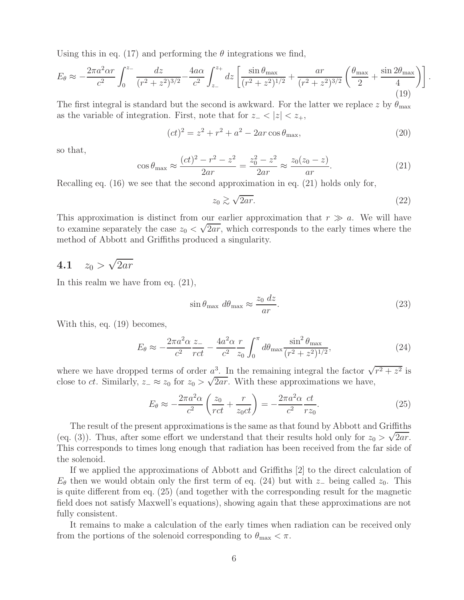Using this in eq. (17) and performing the  $\theta$  integrations we find,

$$
E_{\theta} \approx -\frac{2\pi a^2 \alpha r}{c^2} \int_0^{z_-} \frac{dz}{(r^2 + z^2)^{3/2}} - \frac{4a\alpha}{c^2} \int_{z_-}^{z_+} dz \left[ \frac{\sin \theta_{\text{max}}}{(r^2 + z^2)^{1/2}} + \frac{ar}{(r^2 + z^2)^{3/2}} \left( \frac{\theta_{\text{max}}}{2} + \frac{\sin 2\theta_{\text{max}}}{4} \right) \right].
$$
\n(19)

The first integral is standard but the second is awkward. For the latter we replace z by  $\theta_{\text{max}}$ as the variable of integration. First, note that for  $z_-\n\lt |z| \lt z_+,$ 

$$
(ct)^{2} = z^{2} + r^{2} + a^{2} - 2ar\cos\theta_{\text{max}},
$$
\n(20)

so that,

$$
\cos \theta_{\text{max}} \approx \frac{(ct)^2 - r^2 - z^2}{2ar} = \frac{z_0^2 - z^2}{2ar} \approx \frac{z_0(z_0 - z)}{ar}.
$$
 (21)

Recalling eq. (16) we see that the second approximation in eq. (21) holds only for,

$$
z_0 \gtrsim \sqrt{2ar}.\tag{22}
$$

This approximation is distinct from our earlier approximation that  $r \gg a$ . We will have to examine separately the case  $z_0 < \sqrt{2ar}$ , which corresponds to the early times where the method of Abbott and Griffiths produced a singularity.

# **4.1**  $z_0 > \sqrt{2ar}$

In this realm we have from eq. (21),

$$
\sin \theta_{\text{max}} \, d\theta_{\text{max}} \approx \frac{z_0 \, dz}{ar}.\tag{23}
$$

With this, eq. (19) becomes,

$$
E_{\theta} \approx -\frac{2\pi a^2 \alpha}{c^2} \frac{z_{-}}{rct} - \frac{4a^2 \alpha}{c^2} \frac{r}{z_0} \int_0^{\pi} d\theta_{\text{max}} \frac{\sin^2 \theta_{\text{max}}}{(r^2 + z^2)^{1/2}},
$$
(24)

where we have dropped terms of order  $a^3$ . In the remaining integral the factor  $\sqrt{r^2 + z^2}$  is close to *ct*. Similarly,  $z_-\approx z_0$  for  $z_0 > \sqrt{2ar}$ . With these approximations we have,

$$
E_{\theta} \approx -\frac{2\pi a^2 \alpha}{c^2} \left( \frac{z_0}{rct} + \frac{r}{z_0 ct} \right) = -\frac{2\pi a^2 \alpha}{c^2} \frac{ct}{r z_0}.
$$
 (25)

The result of the present approximations is the same as that found by Abbott and Griffiths (eq. (3)). Thus, after some effort we understand that their results hold only for  $z_0 > \sqrt{2ar}$ . This corresponds to times long enough that radiation has been received from the far side of the solenoid.

If we applied the approximations of Abbott and Griffiths [2] to the direct calculation of  $E_{\theta}$  then we would obtain only the first term of eq. (24) but with z\_ being called  $z_0$ . This is quite different from eq. (25) (and together with the corresponding result for the magnetic field does not satisfy Maxwell's equations), showing again that these approximations are not fully consistent.

It remains to make a calculation of the early times when radiation can be received only from the portions of the solenoid corresponding to  $\theta_{\text{max}} < \pi$ .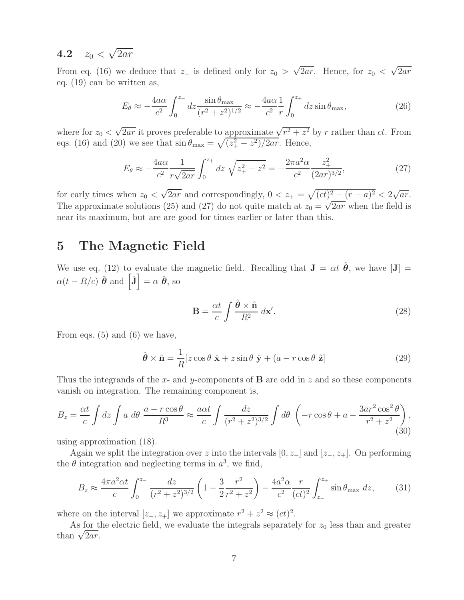### **4.2**  $z_0 < \sqrt{2ar}$

From eq. (16) we deduce that  $z_$  is defined only for  $z_0 > \sqrt{2ar}$ . Hence, for  $z_0 < \sqrt{2ar}$ eq. (19) can be written as,

$$
E_{\theta} \approx -\frac{4a\alpha}{c^2} \int_0^{z_+} dz \frac{\sin \theta_{\text{max}}}{(r^2 + z^2)^{1/2}} \approx -\frac{4a\alpha}{c^2} \frac{1}{r} \int_0^{z_+} dz \sin \theta_{\text{max}},
$$
 (26)

where for  $z_0 < \sqrt{2ar}$  it proves preferable to approximate  $\sqrt{r^2 + z^2}$  by r rather than ct. From eqs. (16) and (20) we see that  $\sin \theta_{\text{max}} = \sqrt{(z_+^2 - z^2)/2ar}$ . Hence,

$$
E_{\theta} \approx -\frac{4a\alpha}{c^2} \frac{1}{r\sqrt{2ar}} \int_0^{z_+} dz \sqrt{z_+^2 - z^2} = -\frac{2\pi a^2 \alpha}{c^2} \frac{z_+^2}{(2ar)^{3/2}},\tag{27}
$$

for early times when  $z_0 < \sqrt{2ar}$  and correspondingly,  $0 < z_+ = \sqrt{(ct)^2 - (r - a)^2} < 2\sqrt{ar}$ . The approximate solutions (25) and (27) do not quite match at  $z_0 = \sqrt{2ar}$  when the field is near its maximum, but are are good for times earlier or later than this.

### **5 The Magnetic Field**

We use eq. (12) to evaluate the magnetic field. Recalling that  $J = \alpha t \hat{\theta}$ , we have [J] =  $\alpha(t - R/c) \hat{\boldsymbol{\theta}}$  and  $\left[\dot{\mathbf{J}}\right] = \alpha \hat{\boldsymbol{\theta}},$  so

$$
\mathbf{B} = \frac{\alpha t}{c} \int \frac{\hat{\boldsymbol{\theta}} \times \hat{\mathbf{n}}}{R^2} \, d\mathbf{x}'.\tag{28}
$$

From eqs. (5) and (6) we have,

$$
\hat{\boldsymbol{\theta}} \times \hat{\mathbf{n}} = \frac{1}{R} [z \cos \theta \hat{\mathbf{x}} + z \sin \theta \hat{\mathbf{y}} + (a - r \cos \theta \hat{\mathbf{z}})] \tag{29}
$$

Thus the integrands of the x- and y-components of **B** are odd in z and so these components vanish on integration. The remaining component is,

$$
B_z = \frac{\alpha t}{c} \int dz \int a \ d\theta \ \frac{a - r \cos \theta}{R^3} \approx \frac{a \alpha t}{c} \int \frac{dz}{(r^2 + z^2)^{3/2}} \int d\theta \ \left( -r \cos \theta + a - \frac{3ar^2 \cos^2 \theta}{r^2 + z^2} \right),\tag{30}
$$

using approximation (18).

Again we split the integration over z into the intervals  $[0, z_+]$  and  $[z_-, z_+]$ . On performing the  $\theta$  integration and neglecting terms in  $a^3$ , we find,

$$
B_z \approx \frac{4\pi a^2 \alpha t}{c} \int_0^{z_-} \frac{dz}{(r^2 + z^2)^{3/2}} \left(1 - \frac{3}{2} \frac{r^2}{r^2 + z^2}\right) - \frac{4a^2 \alpha}{c^2} \frac{r}{(ct)^2} \int_{z_-}^{z_+} \sin \theta_{\text{max}} dz, \qquad (31)
$$

where on the interval  $[z_-, z_+]$  we approximate  $r^2 + z^2 \approx (ct)^2$ .

As for the electric field, we evaluate the integrals separately for  $z_0$  less than and greater than  $\sqrt{2ar}$ .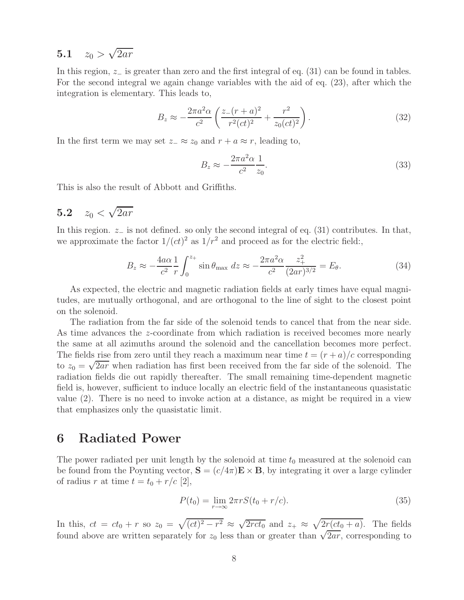### **5.1**  $z_0 > \sqrt{2ar}$

In this region, <sup>z</sup><sup>−</sup> is greater than zero and the first integral of eq. (31) can be found in tables. For the second integral we again change variables with the aid of eq. (23), after which the integration is elementary. This leads to,

$$
B_z \approx -\frac{2\pi a^2 \alpha}{c^2} \left( \frac{z - (r+a)^2}{r^2 (ct)^2} + \frac{r^2}{z_0 (ct)^2} \right). \tag{32}
$$

In the first term we may set  $z_-\approx z_0$  and  $r + a \approx r$ , leading to,

$$
B_z \approx -\frac{2\pi a^2 \alpha}{c^2} \frac{1}{z_0}.\tag{33}
$$

This is also the result of Abbott and Griffiths.

## **5.2**  $z_0 < \sqrt{2ar}$

In this region.  $z_$  is not defined. so only the second integral of eq. (31) contributes. In that, we approximate the factor  $1/(ct)^2$  as  $1/r^2$  and proceed as for the electric field:

$$
B_z \approx -\frac{4a\alpha}{c^2} \frac{1}{r} \int_0^{z_+} \sin \theta_{\text{max}} \, dz \approx -\frac{2\pi a^2 \alpha}{c^2} \frac{z_+^2}{(2ar)^{3/2}} = E_\theta. \tag{34}
$$

As expected, the electric and magnetic radiation fields at early times have equal magnitudes, are mutually orthogonal, and are orthogonal to the line of sight to the closest point on the solenoid.

The radiation from the far side of the solenoid tends to cancel that from the near side. As time advances the z-coordinate from which radiation is received becomes more nearly the same at all azimuths around the solenoid and the cancellation becomes more perfect. The fields rise from zero until they reach a maximum near time  $t = (r + a)/c$  corresponding to  $z_0 = \sqrt{2ar}$  when radiation has first been received from the far side of the solenoid. The radiation fields die out rapidly thereafter. The small remaining time-dependent magnetic field is, however, sufficient to induce locally an electric field of the instantaneous quasistatic value (2). There is no need to invoke action at a distance, as might be required in a view that emphasizes only the quasistatic limit.

### **6 Radiated Power**

The power radiated per unit length by the solenoid at time  $t_0$  measured at the solenoid can be found from the Poynting vector,  $S = (c/4\pi)E \times B$ , by integrating it over a large cylinder of radius r at time  $t = t_0 + r/c$  [2],

$$
P(t_0) = \lim_{r \to \infty} 2\pi r S(t_0 + r/c).
$$
 (35)

In this,  $ct = ct_0 + r$  so  $z_0 = \sqrt{(ct)^2 - r^2} \approx \sqrt{2rct_0}$  and  $z_+ \approx \sqrt{2r(ct_0 + a)}$ . The fields found above are written separately for  $z_0$  less than or greater than  $\sqrt{2ar}$ , corresponding to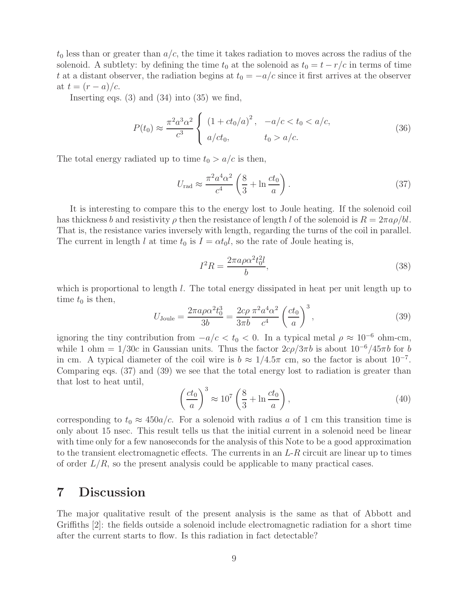$t_0$  less than or greater than  $a/c$ , the time it takes radiation to moves across the radius of the solenoid. A subtlety: by defining the time  $t_0$  at the solenoid as  $t_0 = t - r/c$  in terms of time t at a distant observer, the radiation begins at  $t_0 = -a/c$  since it first arrives at the observer at  $t = (r - a)/c$ .

Inserting eqs.  $(3)$  and  $(34)$  into  $(35)$  we find,

$$
P(t_0) \approx \frac{\pi^2 a^3 \alpha^2}{c^3} \begin{cases} (1 + ct_0/a)^2, & -a/c < t_0 < a/c, \\ a/ct_0, & t_0 > a/c. \end{cases}
$$
 (36)

The total energy radiated up to time  $t_0 > a/c$  is then,

$$
U_{\rm rad} \approx \frac{\pi^2 a^4 \alpha^2}{c^4} \left(\frac{8}{3} + \ln \frac{ct_0}{a}\right). \tag{37}
$$

It is interesting to compare this to the energy lost to Joule heating. If the solenoid coil has thickness b and resistivity  $\rho$  then the resistance of length l of the solenoid is  $R = 2\pi a \rho/bl$ . That is, the resistance varies inversely with length, regarding the turns of the coil in parallel. The current in length l at time  $t_0$  is  $I = \alpha t_0 l$ , so the rate of Joule heating is,

$$
I^2 R = \frac{2\pi a \rho \alpha^2 t_0^2 l}{b},\tag{38}
$$

which is proportional to length  $l$ . The total energy dissipated in heat per unit length up to time  $t_0$  is then,

$$
U_{\text{Joule}} = \frac{2\pi a\rho \alpha^2 t_0^3}{3b} = \frac{2c\rho}{3\pi b} \frac{\pi^2 a^4 \alpha^2}{c^4} \left(\frac{ct_0}{a}\right)^3,\tag{39}
$$

ignoring the tiny contribution from  $-a/c < t_0 < 0$ . In a typical metal  $\rho \approx 10^{-6}$  ohm-cm, while 1 ohm =  $1/30c$  in Gaussian units. Thus the factor  $2c\rho/3\pi b$  is about  $10^{-6}/45\pi b$  for b in cm. A typical diameter of the coil wire is  $b \approx 1/4.5\pi$  cm, so the factor is about  $10^{-7}$ . Comparing eqs. (37) and (39) we see that the total energy lost to radiation is greater than that lost to heat until,

$$
\left(\frac{ct_0}{a}\right)^3 \approx 10^7 \left(\frac{8}{3} + \ln \frac{ct_0}{a}\right),\tag{40}
$$

corresponding to  $t_0 \approx 450a/c$ . For a solenoid with radius a of 1 cm this transition time is only about 15 nsec. This result tells us that the initial current in a solenoid need be linear with time only for a few nanoseconds for the analysis of this Note to be a good approximation to the transient electromagnetic effects. The currents in an  $L-R$  circuit are linear up to times of order  $L/R$ , so the present analysis could be applicable to many practical cases.

### **7 Discussion**

The major qualitative result of the present analysis is the same as that of Abbott and Griffiths [2]: the fields outside a solenoid include electromagnetic radiation for a short time after the current starts to flow. Is this radiation in fact detectable?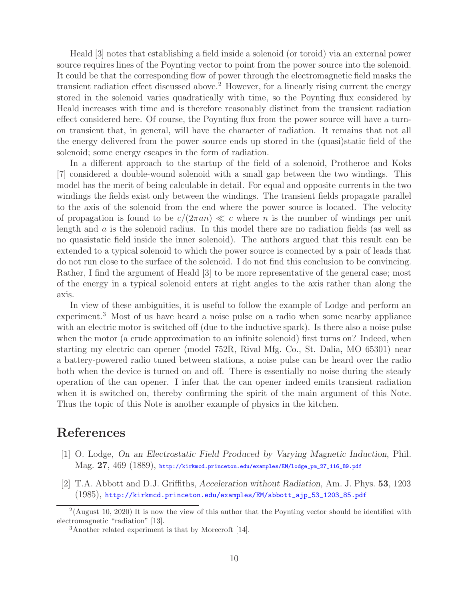Heald [3] notes that establishing a field inside a solenoid (or toroid) via an external power source requires lines of the Poynting vector to point from the power source into the solenoid. It could be that the corresponding flow of power through the electromagnetic field masks the transient radiation effect discussed above.<sup>2</sup> However, for a linearly rising current the energy stored in the solenoid varies quadratically with time, so the Poynting flux considered by Heald increases with time and is therefore reasonably distinct from the transient radiation effect considered here. Of course, the Poynting flux from the power source will have a turnon transient that, in general, will have the character of radiation. It remains that not all the energy delivered from the power source ends up stored in the (quasi)static field of the solenoid; some energy escapes in the form of radiation.

In a different approach to the startup of the field of a solenoid, Protheroe and Koks [7] considered a double-wound solenoid with a small gap between the two windings. This model has the merit of being calculable in detail. For equal and opposite currents in the two windings the fields exist only between the windings. The transient fields propagate parallel to the axis of the solenoid from the end where the power source is located. The velocity of propagation is found to be  $c/(2\pi a n) \ll c$  where n is the number of windings per unit length and a is the solenoid radius. In this model there are no radiation fields (as well as no quasistatic field inside the inner solenoid). The authors argued that this result can be extended to a typical solenoid to which the power source is connected by a pair of leads that do not run close to the surface of the solenoid. I do not find this conclusion to be convincing. Rather, I find the argument of Heald [3] to be more representative of the general case; most of the energy in a typical solenoid enters at right angles to the axis rather than along the axis.

In view of these ambiguities, it is useful to follow the example of Lodge and perform an experiment.<sup>3</sup> Most of us have heard a noise pulse on a radio when some nearby appliance with an electric motor is switched off (due to the inductive spark). Is there also a noise pulse when the motor (a crude approximation to an infinite solenoid) first turns on? Indeed, when starting my electric can opener (model 752R, Rival Mfg. Co., St. Dalia, MO 65301) near a battery-powered radio tuned between stations, a noise pulse can be heard over the radio both when the device is turned on and off. There is essentially no noise during the steady operation of the can opener. I infer that the can opener indeed emits transient radiation when it is switched on, thereby confirming the spirit of the main argument of this Note. Thus the topic of this Note is another example of physics in the kitchen.

### **References**

- [1] O. Lodge, *On an Electrostatic Field Produced by Varying Magnetic Induction*, Phil. Mag. **27**, 469 (1889), http://kirkmcd.princeton.edu/examples/EM/lodge\_pm\_27\_116\_89.pdf
- [2] T.A. Abbott and D.J. Griffiths, *Acceleration without Radiation*, Am. J. Phys. **53**, 1203 (1985), http://kirkmcd.princeton.edu/examples/EM/abbott\_ajp\_53\_1203\_85.pdf

<sup>&</sup>lt;sup>2</sup>(August 10, 2020) It is now the view of this author that the Poynting vector should be identified with electromagnetic "radiation" [13].

<sup>3</sup>Another related experiment is that by Morecroft [14].